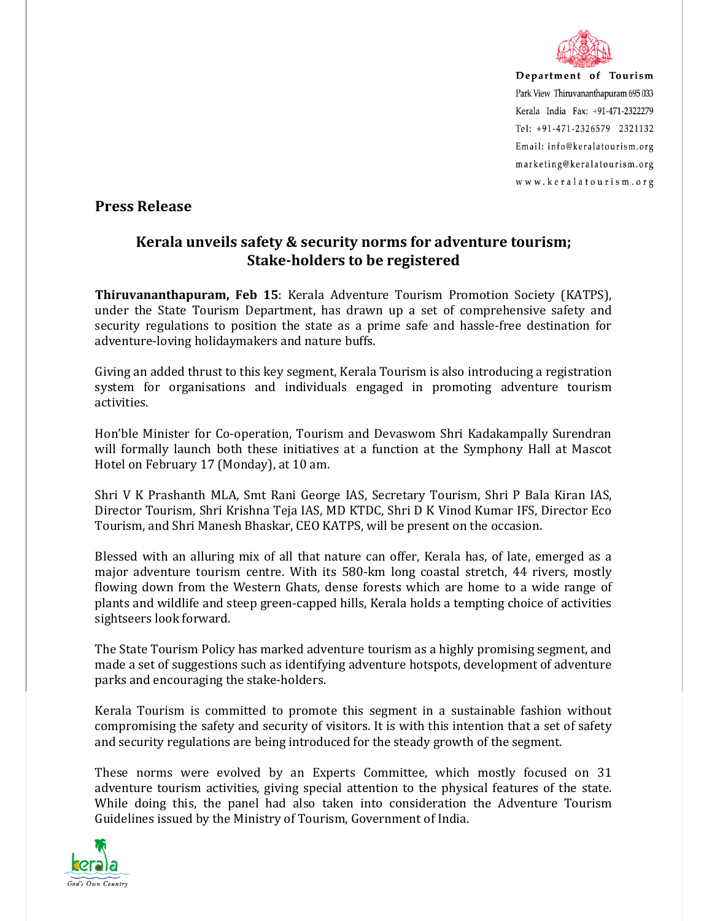

Department of Tourism Park View Thiruvananthapuram 695 033 Kerala India Fax: +91-471-2322279 Tel: +91-471-2326579 2321132 Email: info@keralatourism.org marketing@keralatourism.org www.keralatourism.org

## **Press Release**

## **Kerala unveils safety & security norms for adventure tourism; Stake-holders to be registered**

**Thiruvananthapuram, Feb 15**: Kerala Adventure Tourism Promotion Society (KATPS), under the State Tourism Department, has drawn up a set of comprehensive safety and security regulations to position the state as a prime safe and hassle-free destination for adventure-loving holidaymakers and nature buffs.

Giving an added thrust to this key segment, Kerala Tourism is also introducing a registration system for organisations and individuals engaged in promoting adventure tourism activities.

Hon'ble Minister for Co-operation, Tourism and Devaswom Shri Kadakampally Surendran will formally launch both these initiatives at a function at the Symphony Hall at Mascot Hotel on February 17 (Monday), at 10 am.

Shri V K Prashanth MLA, Smt Rani George IAS, Secretary Tourism, Shri P Bala Kiran IAS, Director Tourism, Shri Krishna Teja IAS, MD KTDC, Shri D K Vinod Kumar IFS, Director Eco Tourism, and Shri Manesh Bhaskar, CEO KATPS, will be present on the occasion.

Blessed with an alluring mix of all that nature can offer, Kerala has, of late, emerged as a major adventure tourism centre. With its 580-km long coastal stretch, 44 rivers, mostly flowing down from the Western Ghats, dense forests which are home to a wide range of plants and wildlife and steep green-capped hills, Kerala holds a tempting choice of activities sightseers look forward.

The State Tourism Policy has marked adventure tourism as a highly promising segment, and made a set of suggestions such as identifying adventure hotspots, development of adventure parks and encouraging the stake-holders.

Kerala Tourism is committed to promote this segment in a sustainable fashion without compromising the safety and security of visitors. It is with this intention that a set of safety and security regulations are being introduced for the steady growth of the segment.

These norms were evolved by an Experts Committee, which mostly focused on 31 adventure tourism activities, giving special attention to the physical features of the state. While doing this, the panel had also taken into consideration the Adventure Tourism Guidelines issued by the Ministry of Tourism, Government of India.